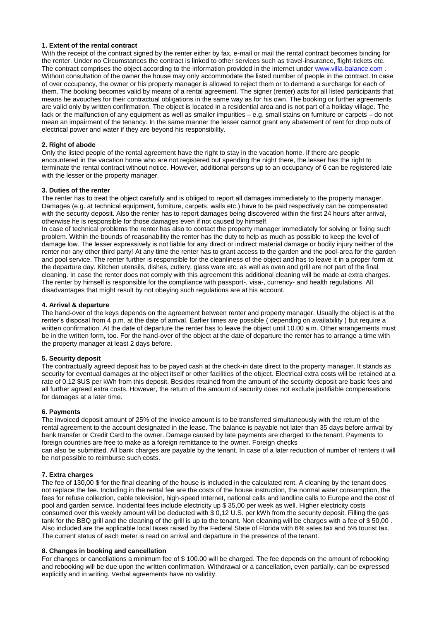## **1. Extent of the rental contract**

With the receipt of the contract signed by the renter either by fax, e-mail or mail the rental contract becomes binding for the renter. Under no Circumstances the contract is linked to other services such as travel-insurance, flight-tickets etc. The contract comprises the object according to the information provided in the internet under www.villa-balance.com . Without consultation of the owner the house may only accommodate the listed number of people in the contract. In case of over occupancy, the owner or his property manager is allowed to reject them or to demand a surcharge for each of them. The booking becomes valid by means of a rental agreement. The signer (renter) acts for all listed participants that means he avouches for their contractual obligations in the same way as for his own. The booking or further agreements are valid only by written confirmation. The object is located in a residential area and is not part of a holiday village. The lack or the malfunction of any equipment as well as smaller impurities – e.g. small stains on furniture or carpets – do not mean an impairment of the tenancy. In the same manner the lesser cannot grant any abatement of rent for drop outs of electrical power and water if they are beyond his responsibility.

#### **2. Right of abode**

Only the listed people of the rental agreement have the right to stay in the vacation home. If there are people encountered in the vacation home who are not registered but spending the night there, the lesser has the right to terminate the rental contract without notice. However, additional persons up to an occupancy of 6 can be registered late with the lesser or the property manager.

#### **3. Duties of the renter**

The renter has to treat the object carefully and is obliged to report all damages immediately to the property manager. Damages (e.g. at technical equipment, furniture, carpets, walls etc.) have to be paid respectively can be compensated with the security deposit. Also the renter has to report damages being discovered within the first 24 hours after arrival, otherwise he is responsible for those damages even if not caused by himself.

In case of technical problems the renter has also to contact the property manager immediately for solving or fixing such problem. Within the bounds of reasonability the renter has the duty to help as much as possible to keep the level of damage low. The lesser expressively is not liable for any direct or indirect material damage or bodily injury neither of the renter nor any other third party! At any time the renter has to grant access to the garden and the pool-area for the garden and pool service. The renter further is responsible for the cleanliness of the object and has to leave it in a proper form at the departure day. Kitchen utensils, dishes, cutlery, glass ware etc. as well as oven and grill are not part of the final cleaning. In case the renter does not comply with this agreement this additional cleaning will be made at extra charges. The renter by himself is responsible for the compliance with passport-, visa-, currency- and health regulations. All disadvantages that might result by not obeying such regulations are at his account.

#### **4. Arrival & departure**

The hand-over of the keys depends on the agreement between renter and property manager. Usually the object is at the renter's disposal from 4 p.m. at the date of arrival. Earlier times are possible ( depending on availability ) but require a written confirmation. At the date of departure the renter has to leave the object until 10.00 a.m. Other arrangements must be in the written form, too. For the hand-over of the object at the date of departure the renter has to arrange a time with the property manager at least 2 days before.

## **5. Security deposit**

The contractually agreed deposit has to be payed cash at the check-in date direct to the property manager. It stands as security for eventual damages at the object itself or other facilities of the object. Electrical extra costs will be retained at a rate of 0.12 \$US per kWh from this deposit. Besides retained from the amount of the security deposit are basic fees and all further agreed extra costs. However, the return of the amount of security does not exclude justifiable compensations for damages at a later time.

## **6. Payments**

The invoiced deposit amount of 25% of the invoice amount is to be transferred simultaneously with the return of the rental agreement to the account designated in the lease. The balance is payable not later than 35 days before arrival by bank transfer or Credit Card to the owner. Damage caused by late payments are charged to the tenant. Payments to foreign countries are free to make as a foreign remittance to the owner. Foreign checks

can also be submitted. All bank charges are payable by the tenant. In case of a later reduction of number of renters it will be not possible to reimburse such costs.

## **7. Extra charges**

The fee of 130,00 \$ for the final cleaning of the house is included in the calculated rent. A cleaning by the tenant does not replace the fee. Including in the rental fee are the costs of the house instruction, the normal water consumption, the fees for refuse collection, cable television, high-speed Internet, national calls and landline calls to Europe and the cost of pool and garden service. Incidental fees include electricity up \$ 35,00 per week as well. Higher electricity costs consumed over this weekly amount will be deducted with \$ 0,12 U.S. per kWh from the security deposit. Filling the gas tank for the BBQ grill and the cleaning of the grill is up to the tenant. Non cleaning will be charges with a fee of \$ 50,00 . Also included are the applicable local taxes raised by the Federal State of Florida with 6% sales tax and 5% tourist tax. The current status of each meter is read on arrival and departure in the presence of the tenant.

#### **8. Changes in booking and cancellation**

For changes or cancellations a minimum fee of \$ 100.00 will be charged. The fee depends on the amount of rebooking and rebooking will be due upon the written confirmation. Withdrawal or a cancellation, even partially, can be expressed explicitly and in writing. Verbal agreements have no validity.